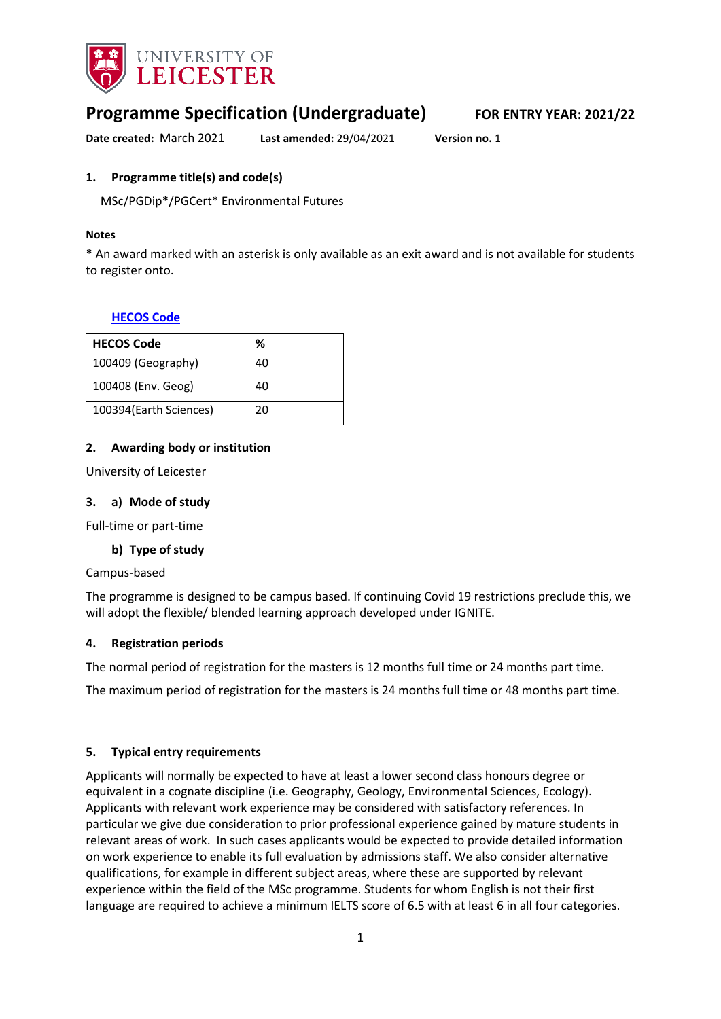

# **Programme Specification (Undergraduate) FOR ENTRY YEAR: 2021/22**

**Date created:** March 2021 **Last amended:** 29/04/2021 **Version no.** 1

### <span id="page-0-0"></span>**1. Programme title(s) and code(s)**

MSc/PGDip\*/PGCert\* Environmental Futures

#### **Notes**

\* An award marked with an asterisk is only available as an exit award and is not available for students to register onto.

### **[HECOS Code](https://www.hesa.ac.uk/innovation/hecos)**

| <b>HECOS Code</b>      | %  |
|------------------------|----|
| 100409 (Geography)     | 40 |
| 100408 (Env. Geog)     | 40 |
| 100394(Earth Sciences) | 20 |

### **2. Awarding body or institution**

University of Leicester

### **3. a) Mode of study**

Full-time or part-time

### **b) Type of study**

#### Campus-based

The programme is designed to be campus based. If continuing Covid 19 restrictions preclude this, we will adopt the flexible/ blended learning approach developed under IGNITE.

### **4. Registration periods**

The normal period of registration for the masters is 12 months full time or 24 months part time.

The maximum period of registration for the masters is 24 months full time or 48 months part time.

### **5. Typical entry requirements**

Applicants will normally be expected to have at least a lower second class honours degree or equivalent in a cognate discipline (i.e. Geography, Geology, Environmental Sciences, Ecology). Applicants with relevant work experience may be considered with satisfactory references. In particular we give due consideration to prior professional experience gained by mature students in relevant areas of work. In such cases applicants would be expected to provide detailed information on work experience to enable its full evaluation by admissions staff. We also consider alternative qualifications, for example in different subject areas, where these are supported by relevant experience within the field of the MSc programme. Students for whom English is not their first language are required to achieve a minimum IELTS score of 6.5 with at least 6 in all four categories.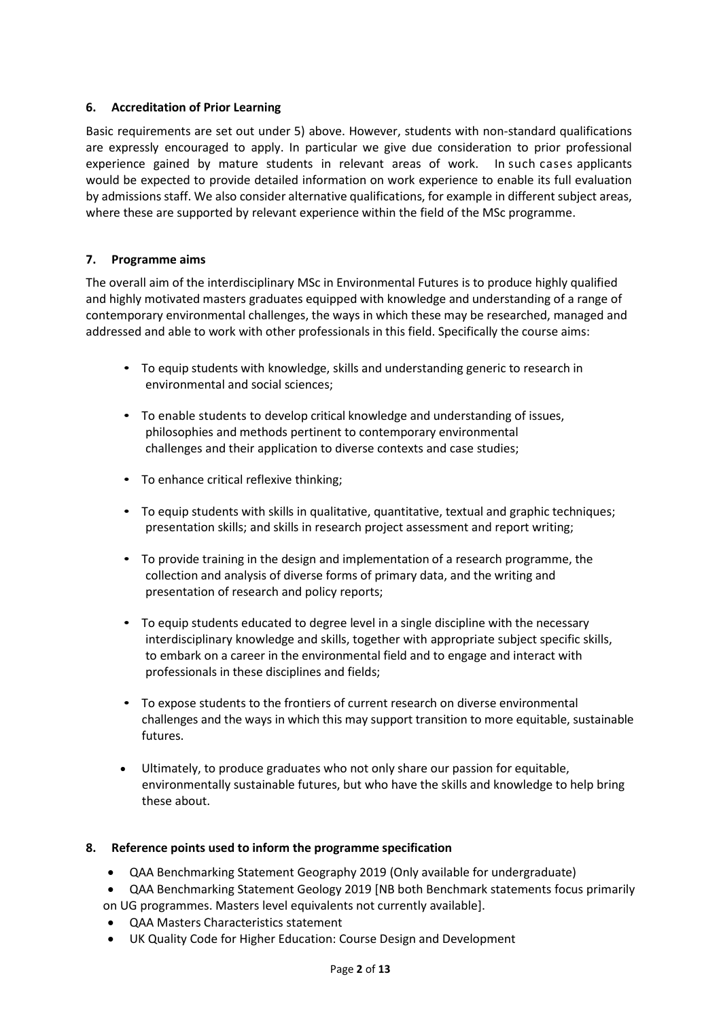## **6. Accreditation of Prior Learning**

Basic requirements are set out under 5) above. However, students with non-standard qualifications are expressly encouraged to apply. In particular we give due consideration to prior professional experience gained by mature students in relevant areas of work. In such cases applicants would be expected to provide detailed information on work experience to enable its full evaluation by admissions staff. We also consider alternative qualifications, for example in different subject areas, where these are supported by relevant experience within the field of the MSc programme.

### **7. Programme aims**

The overall aim of the interdisciplinary MSc in Environmental Futures is to produce highly qualified and highly motivated masters graduates equipped with knowledge and understanding of a range of contemporary environmental challenges, the ways in which these may be researched, managed and addressed and able to work with other professionals in this field. Specifically the course aims:

- To equip students with knowledge, skills and understanding generic to research in environmental and social sciences;
- To enable students to develop critical knowledge and understanding of issues, philosophies and methods pertinent to contemporary environmental challenges and their application to diverse contexts and case studies;
- To enhance critical reflexive thinking;
- To equip students with skills in qualitative, quantitative, textual and graphic techniques; presentation skills; and skills in research project assessment and report writing;
- To provide training in the design and implementation of a research programme, the collection and analysis of diverse forms of primary data, and the writing and presentation of research and policy reports;
- To equip students educated to degree level in a single discipline with the necessary interdisciplinary knowledge and skills, together with appropriate subject specific skills, to embark on a career in the environmental field and to engage and interact with professionals in these disciplines and fields;
- To expose students to the frontiers of current research on diverse environmental challenges and the ways in which this may support transition to more equitable, sustainable futures.
- Ultimately, to produce graduates who not only share our passion for equitable, environmentally sustainable futures, but who have the skills and knowledge to help bring these about.

### **8. Reference points used to inform the programme specification**

- QAA Benchmarking Statement Geography 2019 (Only available for undergraduate)
- QAA Benchmarking Statement Geology 2019 [NB both Benchmark statements focus primarily on UG programmes. Masters level equivalents not currently available].
- QAA Masters Characteristics statement
- UK Quality Code for Higher Education: Course Design and Development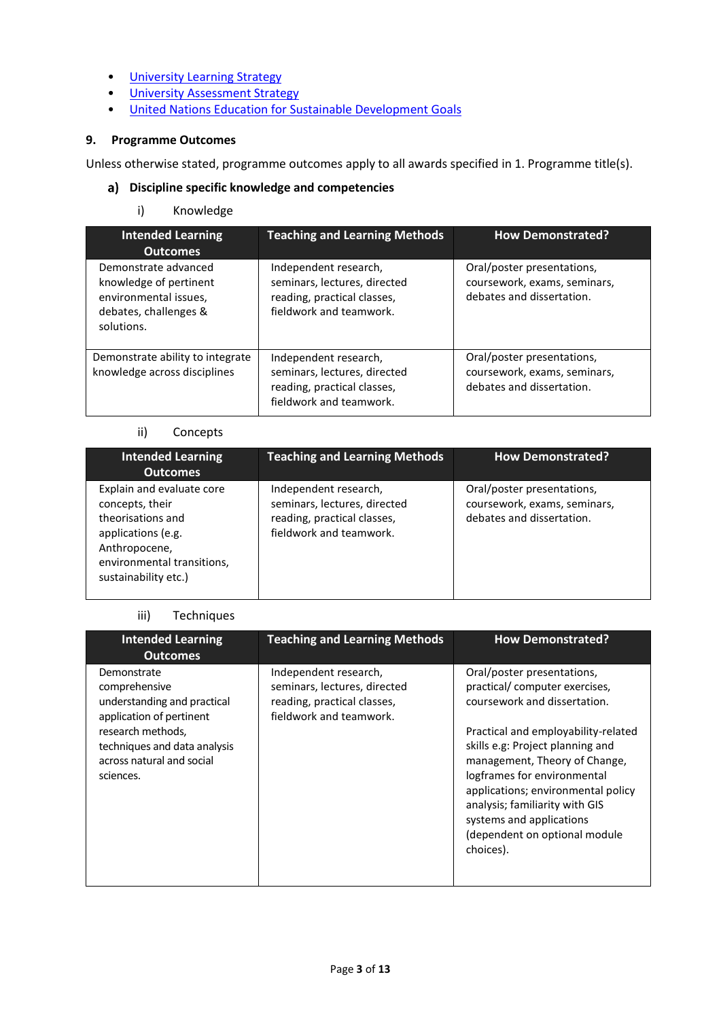- [University Learning](https://www2.le.ac.uk/offices/sas2/quality/learnteach) Strategy
- [University Assessment Strategy](https://www2.le.ac.uk/offices/sas2/quality/learnteach)
- [United Nations Education for Sustainable Development Goals](https://www2.le.ac.uk/offices/lli/designing-your-course/curriculum-design/education-for-sustainable-development/what-is-esd)

### **9. Programme Outcomes**

Unless otherwise stated, programme outcomes apply to all awards specified in [1.](#page-0-0) Programme title(s).

### **Discipline specific knowledge and competencies**

### i) Knowledge

| <b>Intended Learning</b><br><b>Outcomes</b>                                                                    | <b>Teaching and Learning Methods</b>                                                                            | <b>How Demonstrated?</b>                                                                |
|----------------------------------------------------------------------------------------------------------------|-----------------------------------------------------------------------------------------------------------------|-----------------------------------------------------------------------------------------|
| Demonstrate advanced<br>knowledge of pertinent<br>environmental issues,<br>debates, challenges &<br>solutions. | Independent research,<br>seminars, lectures, directed<br>reading, practical classes,<br>fieldwork and teamwork. | Oral/poster presentations,<br>coursework, exams, seminars,<br>debates and dissertation. |
| Demonstrate ability to integrate<br>knowledge across disciplines                                               | Independent research,<br>seminars, lectures, directed<br>reading, practical classes,<br>fieldwork and teamwork. | Oral/poster presentations,<br>coursework, exams, seminars,<br>debates and dissertation. |

#### ii) Concepts

| <b>Intended Learning</b><br><b>Outcomes</b>                                                                                                                    | <b>Teaching and Learning Methods</b>                                                                            | <b>How Demonstrated?</b>                                                                |
|----------------------------------------------------------------------------------------------------------------------------------------------------------------|-----------------------------------------------------------------------------------------------------------------|-----------------------------------------------------------------------------------------|
| Explain and evaluate core<br>concepts, their<br>theorisations and<br>applications (e.g.<br>Anthropocene,<br>environmental transitions,<br>sustainability etc.) | Independent research,<br>seminars, lectures, directed<br>reading, practical classes,<br>fieldwork and teamwork. | Oral/poster presentations,<br>coursework, exams, seminars,<br>debates and dissertation. |

### iii) Techniques

| <b>Intended Learning</b><br><b>Outcomes</b>                                                 | <b>Teaching and Learning Methods</b>                                                                            | <b>How Demonstrated?</b>                                                                                                                                                                                                                                                                  |
|---------------------------------------------------------------------------------------------|-----------------------------------------------------------------------------------------------------------------|-------------------------------------------------------------------------------------------------------------------------------------------------------------------------------------------------------------------------------------------------------------------------------------------|
| Demonstrate<br>comprehensive<br>understanding and practical<br>application of pertinent     | Independent research,<br>seminars, lectures, directed<br>reading, practical classes,<br>fieldwork and teamwork. | Oral/poster presentations,<br>practical/ computer exercises,<br>coursework and dissertation.                                                                                                                                                                                              |
| research methods,<br>techniques and data analysis<br>across natural and social<br>sciences. |                                                                                                                 | Practical and employability-related<br>skills e.g: Project planning and<br>management, Theory of Change,<br>logframes for environmental<br>applications; environmental policy<br>analysis; familiarity with GIS<br>systems and applications<br>(dependent on optional module<br>choices). |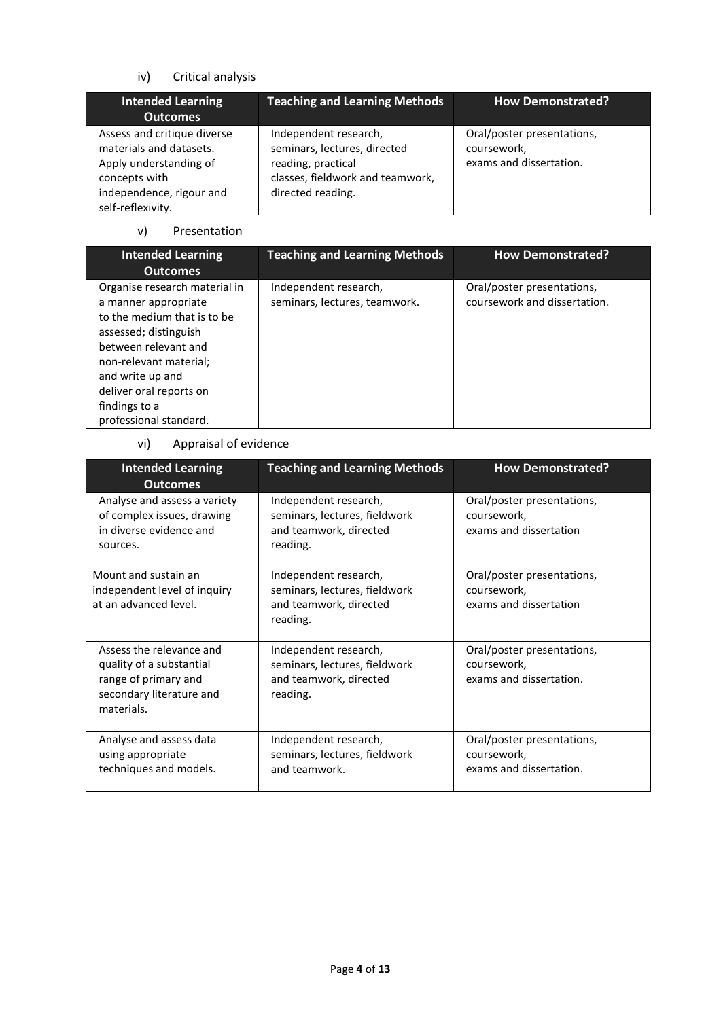# iv) Critical analysis

| <b>Intended Learning</b><br><b>Outcomes</b>                                                                                                        | <b>Teaching and Learning Methods</b>                                                                                                 | <b>How Demonstrated?</b>                                             |
|----------------------------------------------------------------------------------------------------------------------------------------------------|--------------------------------------------------------------------------------------------------------------------------------------|----------------------------------------------------------------------|
| Assess and critique diverse<br>materials and datasets.<br>Apply understanding of<br>concepts with<br>independence, rigour and<br>self-reflexivity. | Independent research,<br>seminars, lectures, directed<br>reading, practical<br>classes, fieldwork and teamwork,<br>directed reading. | Oral/poster presentations,<br>coursework,<br>exams and dissertation. |

### v) Presentation

| <b>Intended Learning</b><br><b>Outcomes</b>                                                                                                                                                                                                               | <b>Teaching and Learning Methods</b>                   | <b>How Demonstrated?</b>                                   |
|-----------------------------------------------------------------------------------------------------------------------------------------------------------------------------------------------------------------------------------------------------------|--------------------------------------------------------|------------------------------------------------------------|
| Organise research material in<br>a manner appropriate<br>to the medium that is to be<br>assessed; distinguish<br>between relevant and<br>non-relevant material;<br>and write up and<br>deliver oral reports on<br>findings to a<br>professional standard. | Independent research,<br>seminars, lectures, teamwork. | Oral/poster presentations,<br>coursework and dissertation. |

# vi) Appraisal of evidence

| <b>Intended Learning</b><br><b>Outcomes</b>                                                                            | <b>Teaching and Learning Methods</b>                                                         | <b>How Demonstrated?</b>                                             |
|------------------------------------------------------------------------------------------------------------------------|----------------------------------------------------------------------------------------------|----------------------------------------------------------------------|
| Analyse and assess a variety<br>of complex issues, drawing<br>in diverse evidence and<br>sources.                      | Independent research,<br>seminars, lectures, fieldwork<br>and teamwork, directed<br>reading. | Oral/poster presentations,<br>coursework,<br>exams and dissertation  |
| Mount and sustain an<br>independent level of inquiry<br>at an advanced level.                                          | Independent research,<br>seminars, lectures, fieldwork<br>and teamwork, directed<br>reading. | Oral/poster presentations,<br>coursework,<br>exams and dissertation  |
| Assess the relevance and<br>quality of a substantial<br>range of primary and<br>secondary literature and<br>materials. | Independent research,<br>seminars, lectures, fieldwork<br>and teamwork, directed<br>reading. | Oral/poster presentations,<br>coursework,<br>exams and dissertation. |
| Analyse and assess data<br>using appropriate<br>techniques and models.                                                 | Independent research,<br>seminars, lectures, fieldwork<br>and teamwork.                      | Oral/poster presentations,<br>coursework,<br>exams and dissertation. |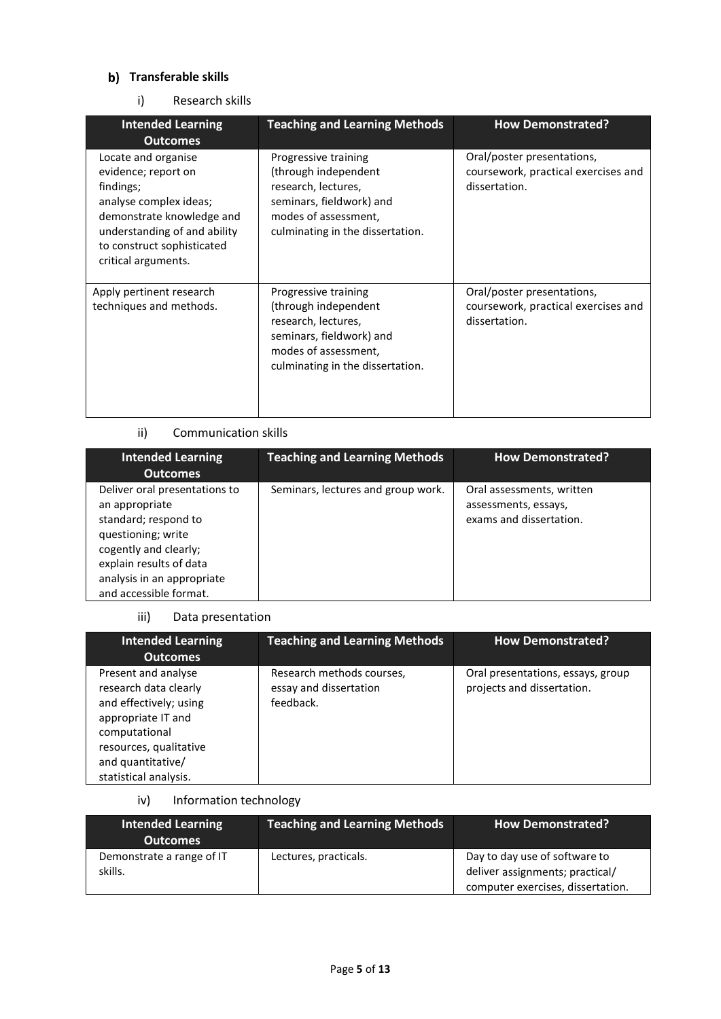# **b)** Transferable skills

### i) Research skills

| <b>Intended Learning</b>                                                                                                                                                                            | <b>Teaching and Learning Methods</b>                                                                                                                        | <b>How Demonstrated?</b>                                                           |
|-----------------------------------------------------------------------------------------------------------------------------------------------------------------------------------------------------|-------------------------------------------------------------------------------------------------------------------------------------------------------------|------------------------------------------------------------------------------------|
| <b>Outcomes</b>                                                                                                                                                                                     |                                                                                                                                                             |                                                                                    |
| Locate and organise<br>evidence; report on<br>findings;<br>analyse complex ideas;<br>demonstrate knowledge and<br>understanding of and ability<br>to construct sophisticated<br>critical arguments. | Progressive training<br>(through independent<br>research, lectures,<br>seminars, fieldwork) and<br>modes of assessment,<br>culminating in the dissertation. | Oral/poster presentations,<br>coursework, practical exercises and<br>dissertation. |
| Apply pertinent research<br>techniques and methods.                                                                                                                                                 | Progressive training<br>(through independent<br>research, lectures,<br>seminars, fieldwork) and<br>modes of assessment,<br>culminating in the dissertation. | Oral/poster presentations,<br>coursework, practical exercises and<br>dissertation. |

### ii) Communication skills

| <b>Intended Learning</b><br><b>Outcomes</b>                                                                                                                                                               | <b>Teaching and Learning Methods</b> | <b>How Demonstrated?</b>                                                     |
|-----------------------------------------------------------------------------------------------------------------------------------------------------------------------------------------------------------|--------------------------------------|------------------------------------------------------------------------------|
| Deliver oral presentations to<br>an appropriate<br>standard; respond to<br>questioning; write<br>cogently and clearly;<br>explain results of data<br>analysis in an appropriate<br>and accessible format. | Seminars, lectures and group work.   | Oral assessments, written<br>assessments, essays,<br>exams and dissertation. |

# iii) Data presentation

| <b>Intended Learning</b><br><b>Outcomes</b>                                                                                                                                           | <b>Teaching and Learning Methods</b>                             | <b>How Demonstrated?</b>                                        |
|---------------------------------------------------------------------------------------------------------------------------------------------------------------------------------------|------------------------------------------------------------------|-----------------------------------------------------------------|
| Present and analyse<br>research data clearly<br>and effectively; using<br>appropriate IT and<br>computational<br>resources, qualitative<br>and quantitative/<br>statistical analysis. | Research methods courses,<br>essay and dissertation<br>feedback. | Oral presentations, essays, group<br>projects and dissertation. |

iv) Information technology

| <b>Intended Learning</b><br><b>Outcomes</b> | Teaching and Learning Methods | <b>How Demonstrated?</b>                                                                              |
|---------------------------------------------|-------------------------------|-------------------------------------------------------------------------------------------------------|
| Demonstrate a range of IT<br>skills.        | Lectures, practicals.         | Day to day use of software to<br>deliver assignments; practical/<br>computer exercises, dissertation. |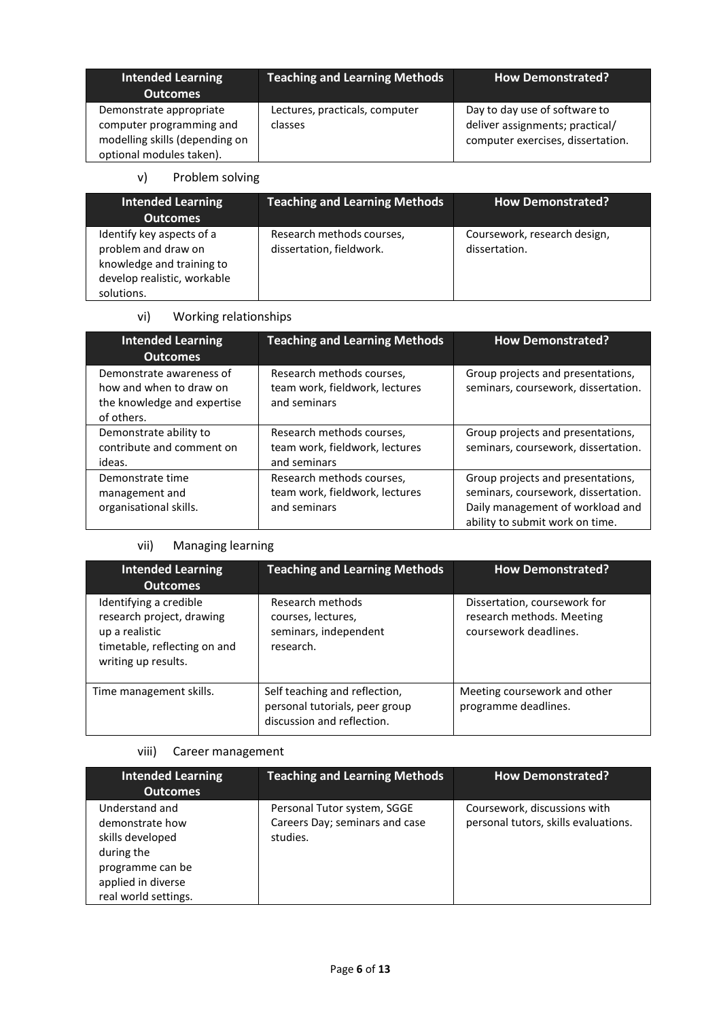| <b>Intended Learning</b><br><b>Outcomes</b>                                                                       | <b>Teaching and Learning Methods</b>      | <b>How Demonstrated?</b>                                                                              |
|-------------------------------------------------------------------------------------------------------------------|-------------------------------------------|-------------------------------------------------------------------------------------------------------|
| Demonstrate appropriate<br>computer programming and<br>modelling skills (depending on<br>optional modules taken). | Lectures, practicals, computer<br>classes | Day to day use of software to<br>deliver assignments; practical/<br>computer exercises, dissertation. |

### v) Problem solving

| <b>Intended Learning</b><br><b>Outcomes</b>                                                                                | <b>Teaching and Learning Methods</b>                  | <b>How Demonstrated?</b>                      |
|----------------------------------------------------------------------------------------------------------------------------|-------------------------------------------------------|-----------------------------------------------|
| Identify key aspects of a<br>problem and draw on<br>knowledge and training to<br>develop realistic, workable<br>solutions. | Research methods courses,<br>dissertation, fieldwork. | Coursework, research design,<br>dissertation. |

# vi) Working relationships

| <b>Intended Learning</b><br><b>Outcomes</b>                                                      | <b>Teaching and Learning Methods</b>                                        | <b>How Demonstrated?</b>                                                                                                                        |
|--------------------------------------------------------------------------------------------------|-----------------------------------------------------------------------------|-------------------------------------------------------------------------------------------------------------------------------------------------|
| Demonstrate awareness of<br>how and when to draw on<br>the knowledge and expertise<br>of others. | Research methods courses,<br>team work, fieldwork, lectures<br>and seminars | Group projects and presentations,<br>seminars, coursework, dissertation.                                                                        |
| Demonstrate ability to<br>contribute and comment on<br>ideas.                                    | Research methods courses,<br>team work, fieldwork, lectures<br>and seminars | Group projects and presentations,<br>seminars, coursework, dissertation.                                                                        |
| Demonstrate time<br>management and<br>organisational skills.                                     | Research methods courses,<br>team work, fieldwork, lectures<br>and seminars | Group projects and presentations,<br>seminars, coursework, dissertation.<br>Daily management of workload and<br>ability to submit work on time. |

# vii) Managing learning

| <b>Intended Learning</b><br><b>Outcomes</b>                                                                                  | <b>Teaching and Learning Methods</b>                                                          | <b>How Demonstrated?</b>                                                           |
|------------------------------------------------------------------------------------------------------------------------------|-----------------------------------------------------------------------------------------------|------------------------------------------------------------------------------------|
| Identifying a credible<br>research project, drawing<br>up a realistic<br>timetable, reflecting on and<br>writing up results. | Research methods<br>courses, lectures,<br>seminars, independent<br>research.                  | Dissertation, coursework for<br>research methods. Meeting<br>coursework deadlines. |
| Time management skills.                                                                                                      | Self teaching and reflection,<br>personal tutorials, peer group<br>discussion and reflection. | Meeting coursework and other<br>programme deadlines.                               |

# viii) Career management

| <b>Intended Learning</b><br>Outcomes                                                                                                  | <b>Teaching and Learning Methods</b>                                      | <b>How Demonstrated?</b>                                             |
|---------------------------------------------------------------------------------------------------------------------------------------|---------------------------------------------------------------------------|----------------------------------------------------------------------|
| Understand and<br>demonstrate how<br>skills developed<br>during the<br>programme can be<br>applied in diverse<br>real world settings. | Personal Tutor system, SGGE<br>Careers Day; seminars and case<br>studies. | Coursework, discussions with<br>personal tutors, skills evaluations. |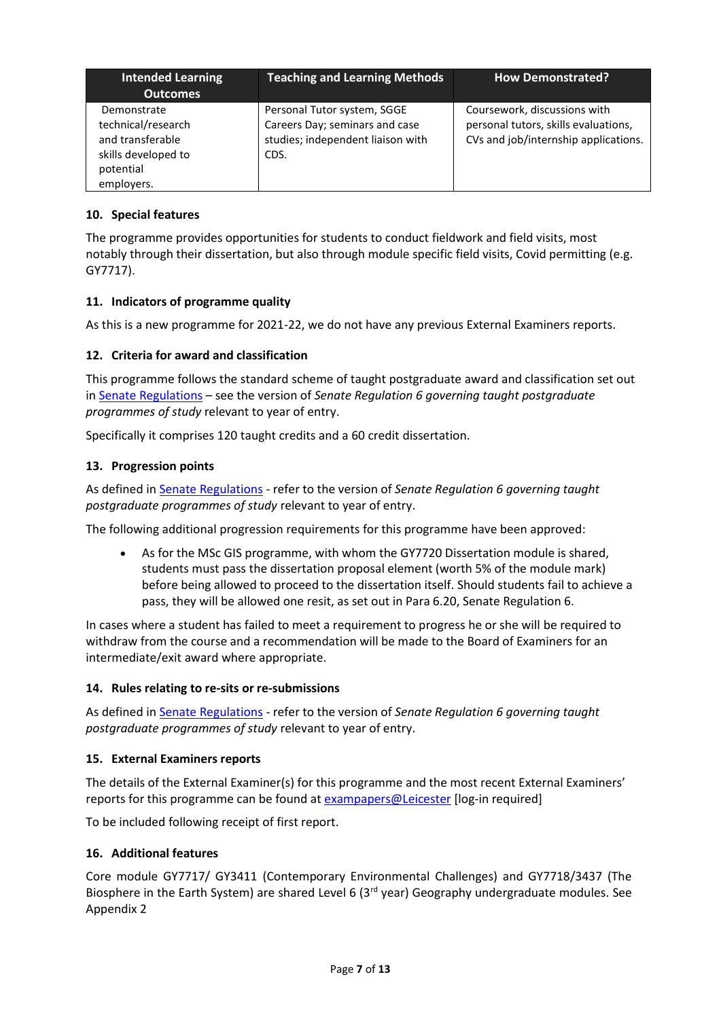| <b>Intended Learning</b><br><b>Outcomes</b>                                                             | <b>Teaching and Learning Methods</b>                                                                       | <b>How Demonstrated?</b>                                                                                     |
|---------------------------------------------------------------------------------------------------------|------------------------------------------------------------------------------------------------------------|--------------------------------------------------------------------------------------------------------------|
| Demonstrate<br>technical/research<br>and transferable<br>skills developed to<br>potential<br>employers. | Personal Tutor system, SGGE<br>Careers Day; seminars and case<br>studies; independent liaison with<br>CDS. | Coursework, discussions with<br>personal tutors, skills evaluations,<br>CVs and job/internship applications. |

# **10. Special features**

The programme provides opportunities for students to conduct fieldwork and field visits, most notably through their dissertation, but also through module specific field visits, Covid permitting (e.g. GY7717).

## **11. Indicators of programme quality**

As this is a new programme for 2021-22, we do not have any previous External Examiners reports.

## **12. Criteria for award and classification**

This programme follows the standard scheme of taught postgraduate award and classification set out i[n Senate Regulations](http://www.le.ac.uk/senate-regulations) – see the version of *Senate Regulation 6 governing taught postgraduate programmes of study* relevant to year of entry.

Specifically it comprises 120 taught credits and a 60 credit dissertation.

## **13. Progression points**

As defined i[n Senate Regulations](http://www.le.ac.uk/senate-regulation6) - refer to the version of *Senate Regulation 6 governing taught postgraduate programmes of study* relevant to year of entry.

The following additional progression requirements for this programme have been approved:

 As for the MSc GIS programme, with whom the GY7720 Dissertation module is shared, students must pass the dissertation proposal element (worth 5% of the module mark) before being allowed to proceed to the dissertation itself. Should students fail to achieve a pass, they will be allowed one resit, as set out in Para 6.20, Senate Regulation 6.

In cases where a student has failed to meet a requirement to progress he or she will be required to withdraw from the course and a recommendation will be made to the Board of Examiners for an intermediate/exit award where appropriate.

## **14. Rules relating to re-sits or re-submissions**

As defined i[n Senate Regulations](http://www.le.ac.uk/senate-regulation6) - refer to the version of *Senate Regulation 6 governing taught postgraduate programmes of study* relevant to year of entry.

## **15. External Examiners reports**

The details of the External Examiner(s) for this programme and the most recent External Examiners' reports for this programme can be found at [exampapers@Leicester](https://exampapers.le.ac.uk/) [log-in required]

To be included following receipt of first report.

### **16. Additional features**

Core module GY7717/ GY3411 (Contemporary Environmental Challenges) and GY7718/3437 (The Biosphere in the Earth System) are shared Level 6 (3<sup>rd</sup> year) Geography undergraduate modules. See Appendix 2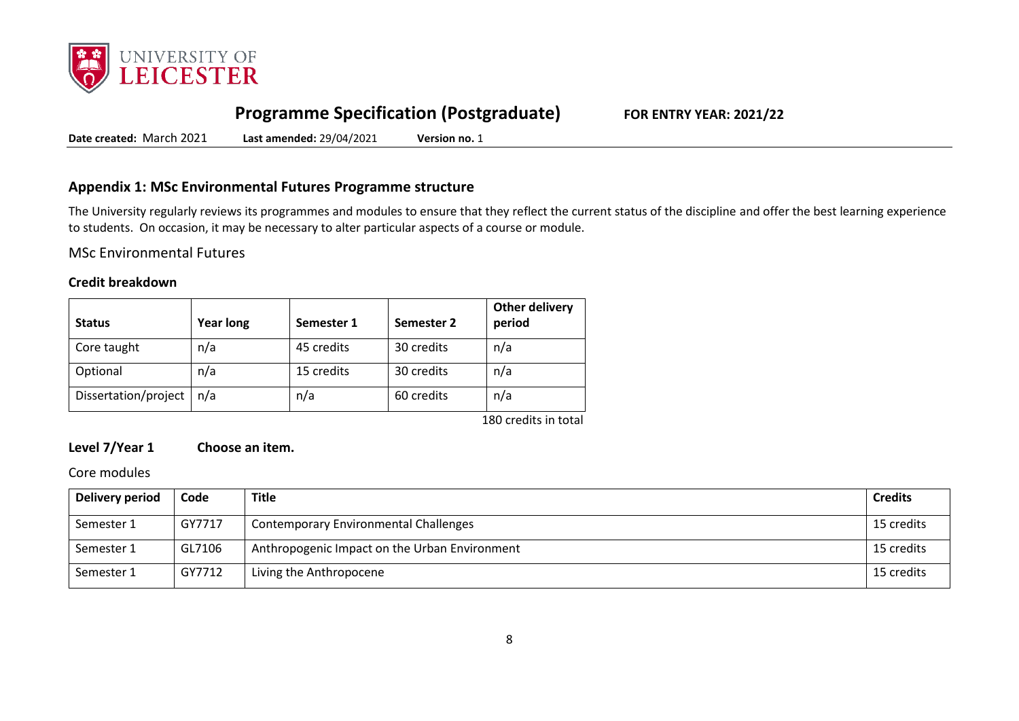

# **Programme Specification (Postgraduate) FOR ENTRY YEAR: 2021/22**

**Date created:** March 2021 **Last amended:** 29/04/2021 **Version no.** 1

# **Appendix 1: MSc Environmental Futures Programme structure**

The University regularly reviews its programmes and modules to ensure that they reflect the current status of the discipline and offer the best learning experience to students. On occasion, it may be necessary to alter particular aspects of a course or module.

MSc Environmental Futures

### **Credit breakdown**

| <b>Status</b>        | <b>Year long</b> | Semester 1 | Semester 2 | <b>Other delivery</b><br>period |
|----------------------|------------------|------------|------------|---------------------------------|
| Core taught          | n/a              | 45 credits | 30 credits | n/a                             |
| Optional             | n/a              | 15 credits | 30 credits | n/a                             |
| Dissertation/project | n/a              | n/a        | 60 credits | n/a                             |
|                      |                  |            |            | 180 credits in total            |

# **Level 7/Year 1 Choose an item.**

Core modules

| Delivery period | Code   | <b>Title</b>                                  | <b>Credits</b> |
|-----------------|--------|-----------------------------------------------|----------------|
| Semester 1      | GY7717 | <b>Contemporary Environmental Challenges</b>  | 15 credits     |
| Semester 1      | GL7106 | Anthropogenic Impact on the Urban Environment | 15 credits     |
| Semester 1      | GY7712 | Living the Anthropocene                       | 15 credits     |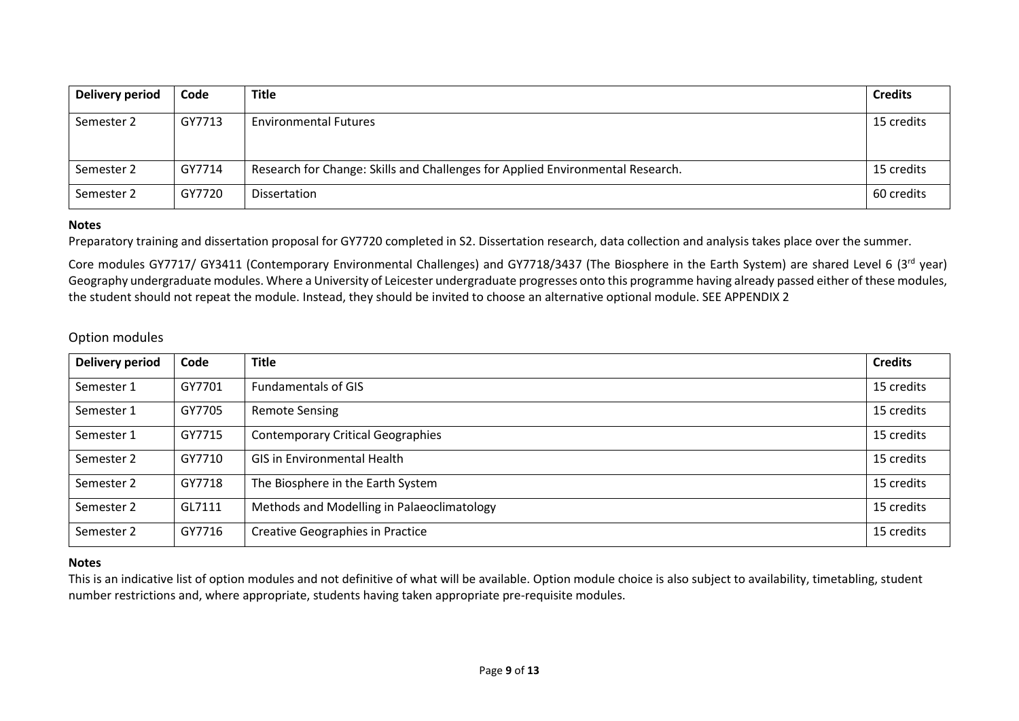| Delivery period | Code   | <b>Title</b>                                                                   | <b>Credits</b> |
|-----------------|--------|--------------------------------------------------------------------------------|----------------|
| Semester 2      | GY7713 | <b>Environmental Futures</b>                                                   | 15 credits     |
| Semester 2      | GY7714 | Research for Change: Skills and Challenges for Applied Environmental Research. | 15 credits     |
| Semester 2      | GY7720 | Dissertation                                                                   | 60 credits     |

### **Notes**

Preparatory training and dissertation proposal for GY7720 completed in S2. Dissertation research, data collection and analysis takes place over the summer.

Core modules GY7717/ GY3411 (Contemporary Environmental Challenges) and GY7718/3437 (The Biosphere in the Earth System) are shared Level 6 (3rd year) Geography undergraduate modules. Where a University of Leicester undergraduate progresses onto this programme having already passed either of these modules, the student should not repeat the module. Instead, they should be invited to choose an alternative optional module. SEE APPENDIX 2

## Option modules

| <b>Delivery period</b> | Code   | <b>Title</b>                               | <b>Credits</b> |
|------------------------|--------|--------------------------------------------|----------------|
| Semester 1             | GY7701 | <b>Fundamentals of GIS</b>                 | 15 credits     |
| Semester 1             | GY7705 | <b>Remote Sensing</b>                      | 15 credits     |
| Semester 1             | GY7715 | <b>Contemporary Critical Geographies</b>   | 15 credits     |
| Semester 2             | GY7710 | <b>GIS in Environmental Health</b>         | 15 credits     |
| Semester 2             | GY7718 | The Biosphere in the Earth System          | 15 credits     |
| Semester 2             | GL7111 | Methods and Modelling in Palaeoclimatology | 15 credits     |
| Semester 2             | GY7716 | <b>Creative Geographies in Practice</b>    | 15 credits     |

### **Notes**

This is an indicative list of option modules and not definitive of what will be available. Option module choice is also subject to availability, timetabling, student number restrictions and, where appropriate, students having taken appropriate pre-requisite modules.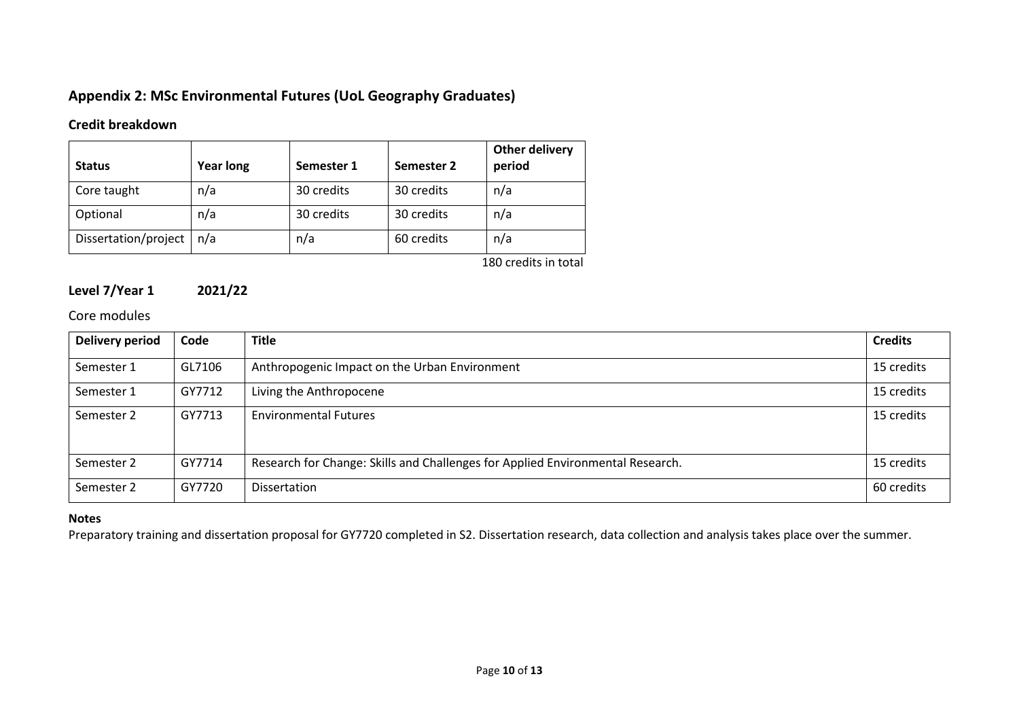# **Appendix 2: MSc Environmental Futures (UoL Geography Graduates)**

# **Credit breakdown**

| <b>Status</b>        | <b>Year long</b> | Semester 1 | Semester 2 | Other delivery<br>period |
|----------------------|------------------|------------|------------|--------------------------|
| Core taught          | n/a              | 30 credits | 30 credits | n/a                      |
| Optional             | n/a              | 30 credits | 30 credits | n/a                      |
| Dissertation/project | n/a              | n/a        | 60 credits | n/a                      |
|                      |                  |            |            | $100 - 444$              |

180 credits in total

# **Level 7/Year 1 2021/22**

# Core modules

| <b>Delivery period</b> | Code   | <b>Title</b>                                                                   | <b>Credits</b> |
|------------------------|--------|--------------------------------------------------------------------------------|----------------|
| Semester 1             | GL7106 | Anthropogenic Impact on the Urban Environment                                  | 15 credits     |
| Semester 1             | GY7712 | Living the Anthropocene                                                        | 15 credits     |
| Semester 2             | GY7713 | <b>Environmental Futures</b>                                                   | 15 credits     |
| Semester 2             | GY7714 | Research for Change: Skills and Challenges for Applied Environmental Research. | 15 credits     |
| Semester 2             | GY7720 | Dissertation                                                                   | 60 credits     |

### **Notes**

Preparatory training and dissertation proposal for GY7720 completed in S2. Dissertation research, data collection and analysis takes place over the summer.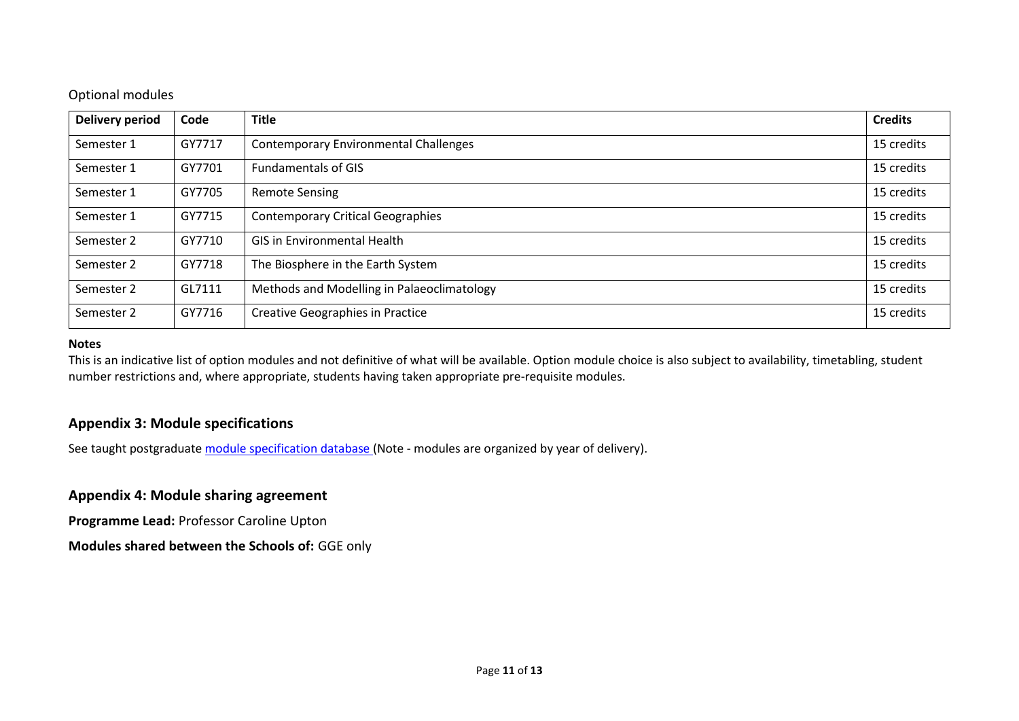# Optional modules

| <b>Delivery period</b> | Code   | <b>Title</b>                                 | <b>Credits</b> |
|------------------------|--------|----------------------------------------------|----------------|
| Semester 1             | GY7717 | <b>Contemporary Environmental Challenges</b> | 15 credits     |
| Semester 1             | GY7701 | <b>Fundamentals of GIS</b>                   | 15 credits     |
| Semester 1             | GY7705 | <b>Remote Sensing</b>                        | 15 credits     |
| Semester 1             | GY7715 | <b>Contemporary Critical Geographies</b>     | 15 credits     |
| Semester 2             | GY7710 | <b>GIS in Environmental Health</b>           | 15 credits     |
| Semester 2             | GY7718 | The Biosphere in the Earth System            | 15 credits     |
| Semester 2             | GL7111 | Methods and Modelling in Palaeoclimatology   | 15 credits     |
| Semester 2             | GY7716 | <b>Creative Geographies in Practice</b>      | 15 credits     |

### **Notes**

This is an indicative list of option modules and not definitive of what will be available. Option module choice is also subject to availability, timetabling, student number restrictions and, where appropriate, students having taken appropriate pre-requisite modules.

# **Appendix 3: Module specifications**

See taught postgraduate [module specification database](http://www.le.ac.uk/sas/courses/documentation) (Note - modules are organized by year of delivery).

# **Appendix 4: Module sharing agreement**

**Programme Lead:** Professor Caroline Upton

**Modules shared between the Schools of:** GGE only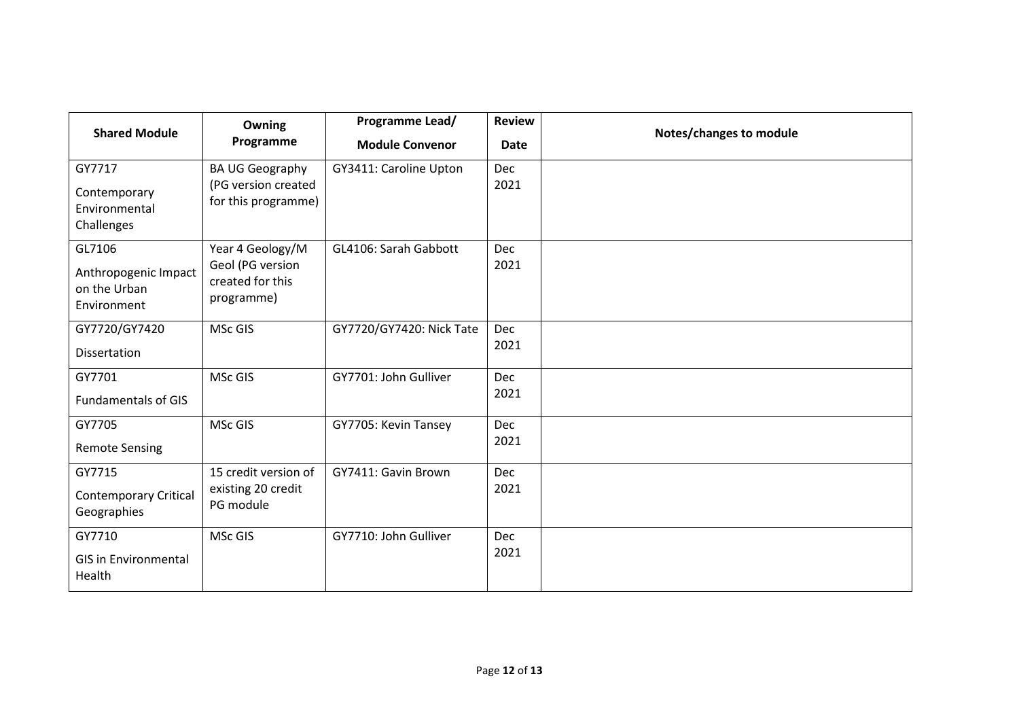| <b>Shared Module</b>                                          | Owning<br>Programme                                                    | Programme Lead/<br><b>Module Convenor</b> | <b>Review</b><br><b>Date</b> | Notes/changes to module |
|---------------------------------------------------------------|------------------------------------------------------------------------|-------------------------------------------|------------------------------|-------------------------|
| GY7717<br>Contemporary<br>Environmental<br>Challenges         | <b>BA UG Geography</b><br>(PG version created<br>for this programme)   | GY3411: Caroline Upton                    | <b>Dec</b><br>2021           |                         |
| GL7106<br>Anthropogenic Impact<br>on the Urban<br>Environment | Year 4 Geology/M<br>Geol (PG version<br>created for this<br>programme) | GL4106: Sarah Gabbott                     | <b>Dec</b><br>2021           |                         |
| GY7720/GY7420<br>Dissertation                                 | <b>MSc GIS</b>                                                         | GY7720/GY7420: Nick Tate                  | <b>Dec</b><br>2021           |                         |
| GY7701<br><b>Fundamentals of GIS</b>                          | MSc GIS                                                                | GY7701: John Gulliver                     | Dec<br>2021                  |                         |
| GY7705<br><b>Remote Sensing</b>                               | MSc GIS                                                                | GY7705: Kevin Tansey                      | <b>Dec</b><br>2021           |                         |
| GY7715<br><b>Contemporary Critical</b><br>Geographies         | 15 credit version of<br>existing 20 credit<br>PG module                | GY7411: Gavin Brown                       | <b>Dec</b><br>2021           |                         |
| GY7710<br><b>GIS in Environmental</b><br>Health               | <b>MSc GIS</b>                                                         | GY7710: John Gulliver                     | <b>Dec</b><br>2021           |                         |